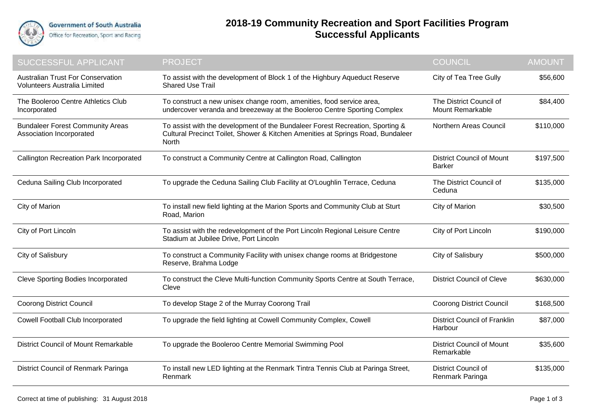

## **2018-19 Community Recreation and Sport Facilities Program Successful Applicants**

| SUCCESSFUL APPLICANT                                                     | <b>PROJECT</b>                                                                                                                                                            | <b>COUNCIL</b>                                    | <b>AMOUNT</b> |
|--------------------------------------------------------------------------|---------------------------------------------------------------------------------------------------------------------------------------------------------------------------|---------------------------------------------------|---------------|
| <b>Australian Trust For Conservation</b><br>Volunteers Australia Limited | To assist with the development of Block 1 of the Highbury Aqueduct Reserve<br><b>Shared Use Trail</b>                                                                     | City of Tea Tree Gully                            | \$56,600      |
| The Booleroo Centre Athletics Club<br>Incorporated                       | To construct a new unisex change room, amenities, food service area,<br>undercover veranda and breezeway at the Booleroo Centre Sporting Complex                          | The District Council of<br>Mount Remarkable       | \$84,400      |
| <b>Bundaleer Forest Community Areas</b><br>Association Incorporated      | To assist with the development of the Bundaleer Forest Recreation, Sporting &<br>Cultural Precinct Toilet, Shower & Kitchen Amenities at Springs Road, Bundaleer<br>North | Northern Areas Council                            | \$110,000     |
| <b>Callington Recreation Park Incorporated</b>                           | To construct a Community Centre at Callington Road, Callington                                                                                                            | <b>District Council of Mount</b><br><b>Barker</b> | \$197,500     |
| Ceduna Sailing Club Incorporated                                         | To upgrade the Ceduna Sailing Club Facility at O'Loughlin Terrace, Ceduna                                                                                                 | The District Council of<br>Ceduna                 | \$135,000     |
| City of Marion                                                           | To install new field lighting at the Marion Sports and Community Club at Sturt<br>Road, Marion                                                                            | City of Marion                                    | \$30,500      |
| City of Port Lincoln                                                     | To assist with the redevelopment of the Port Lincoln Regional Leisure Centre<br>Stadium at Jubilee Drive, Port Lincoln                                                    | City of Port Lincoln                              | \$190,000     |
| City of Salisbury                                                        | To construct a Community Facility with unisex change rooms at Bridgestone<br>Reserve, Brahma Lodge                                                                        | City of Salisbury                                 | \$500,000     |
| <b>Cleve Sporting Bodies Incorporated</b>                                | To construct the Cleve Multi-function Community Sports Centre at South Terrace,<br>Cleve                                                                                  | <b>District Council of Cleve</b>                  | \$630,000     |
| <b>Coorong District Council</b>                                          | To develop Stage 2 of the Murray Coorong Trail                                                                                                                            | <b>Coorong District Council</b>                   | \$168,500     |
| Cowell Football Club Incorporated                                        | To upgrade the field lighting at Cowell Community Complex, Cowell                                                                                                         | <b>District Council of Franklin</b><br>Harbour    | \$87,000      |
| <b>District Council of Mount Remarkable</b>                              | To upgrade the Booleroo Centre Memorial Swimming Pool                                                                                                                     | <b>District Council of Mount</b><br>Remarkable    | \$35,600      |
| District Council of Renmark Paringa                                      | To install new LED lighting at the Renmark Tintra Tennis Club at Paringa Street,<br>Renmark                                                                               | <b>District Council of</b><br>Renmark Paringa     | \$135,000     |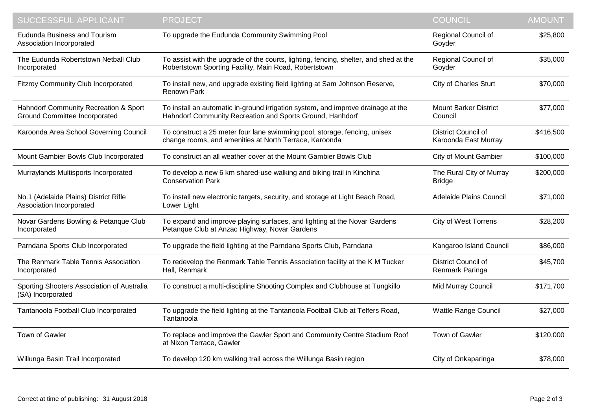| SUCCESSFUL APPLICANT                                                          | <b>PROJECT</b>                                                                                                                                 | <b>COUNCIL</b>                                     | <b>AMOUNT</b> |
|-------------------------------------------------------------------------------|------------------------------------------------------------------------------------------------------------------------------------------------|----------------------------------------------------|---------------|
| <b>Eudunda Business and Tourism</b><br>Association Incorporated               | To upgrade the Eudunda Community Swimming Pool                                                                                                 | Regional Council of<br>Goyder                      | \$25,800      |
| The Eudunda Robertstown Netball Club<br>Incorporated                          | To assist with the upgrade of the courts, lighting, fencing, shelter, and shed at the<br>Robertstown Sporting Facility, Main Road, Robertstown | Regional Council of<br>Goyder                      | \$35,000      |
| <b>Fitzroy Community Club Incorporated</b>                                    | To install new, and upgrade existing field lighting at Sam Johnson Reserve,<br>Renown Park                                                     | <b>City of Charles Sturt</b>                       | \$70,000      |
| Hahndorf Community Recreation & Sport<br><b>Ground Committee Incorporated</b> | To install an automatic in-ground irrigation system, and improve drainage at the<br>Hahndorf Community Recreation and Sports Ground, Hanhdorf  | <b>Mount Barker District</b><br>Council            | \$77,000      |
| Karoonda Area School Governing Council                                        | To construct a 25 meter four lane swimming pool, storage, fencing, unisex<br>change rooms, and amenities at North Terrace, Karoonda            | <b>District Council of</b><br>Karoonda East Murray | \$416,500     |
| Mount Gambier Bowls Club Incorporated                                         | To construct an all weather cover at the Mount Gambier Bowls Club                                                                              | <b>City of Mount Gambier</b>                       | \$100,000     |
| Murraylands Multisports Incorporated                                          | To develop a new 6 km shared-use walking and biking trail in Kinchina<br><b>Conservation Park</b>                                              | The Rural City of Murray<br><b>Bridge</b>          | \$200,000     |
| No.1 (Adelaide Plains) District Rifle<br>Association Incorporated             | To install new electronic targets, security, and storage at Light Beach Road,<br>Lower Light                                                   | Adelaide Plains Council                            | \$71,000      |
| Novar Gardens Bowling & Petanque Club<br>Incorporated                         | To expand and improve playing surfaces, and lighting at the Novar Gardens<br>Petanque Club at Anzac Highway, Novar Gardens                     | <b>City of West Torrens</b>                        | \$28,200      |
| Parndana Sports Club Incorporated                                             | To upgrade the field lighting at the Parndana Sports Club, Parndana                                                                            | Kangaroo Island Council                            | \$86,000      |
| The Renmark Table Tennis Association<br>Incorporated                          | To redevelop the Renmark Table Tennis Association facility at the K M Tucker<br>Hall, Renmark                                                  | District Council of<br>Renmark Paringa             | \$45,700      |
| Sporting Shooters Association of Australia<br>(SA) Incorporated               | To construct a multi-discipline Shooting Complex and Clubhouse at Tungkillo                                                                    | Mid Murray Council                                 | \$171,700     |
| Tantanoola Football Club Incorporated                                         | To upgrade the field lighting at the Tantanoola Football Club at Telfers Road,<br>Tantanoola                                                   | <b>Wattle Range Council</b>                        | \$27,000      |
| Town of Gawler                                                                | To replace and improve the Gawler Sport and Community Centre Stadium Roof<br>at Nixon Terrace, Gawler                                          | Town of Gawler                                     | \$120,000     |
| Willunga Basin Trail Incorporated                                             | To develop 120 km walking trail across the Willunga Basin region                                                                               | City of Onkaparinga                                | \$78,000      |